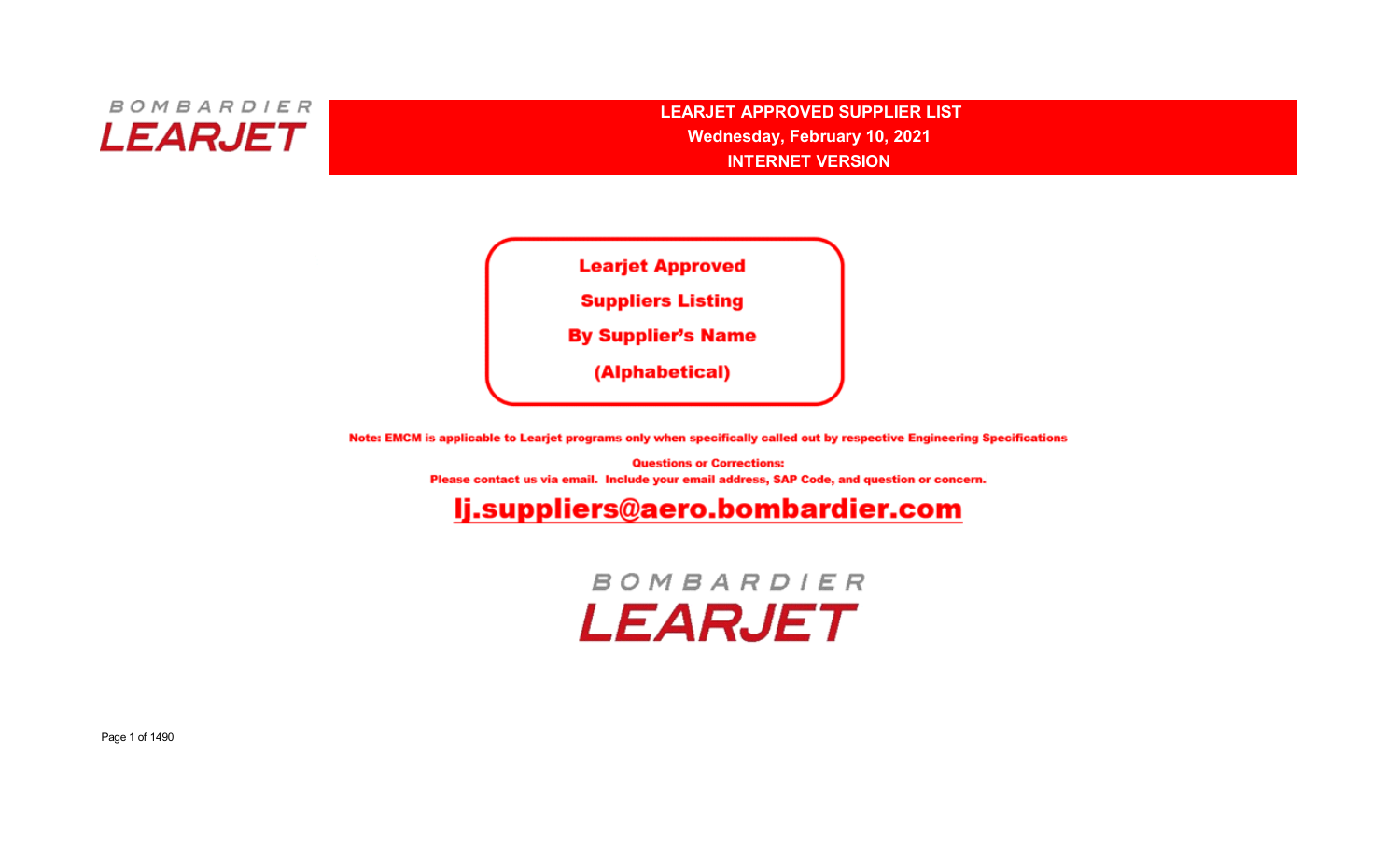

**LEARJET APPROVED SUPPLIER LISTINTERNET VERSIONWednesday, February 10, 2021**



Note: EMCM is applicable to Learjet programs only when specifically called out by respective Engineering Specifications

**Questions or Corrections:** Please contact us via email. Include your email address, SAP Code, and question or concern.

## lj.suppliers@aero.bombardier.com

**BOMBARDIER LEARJET**